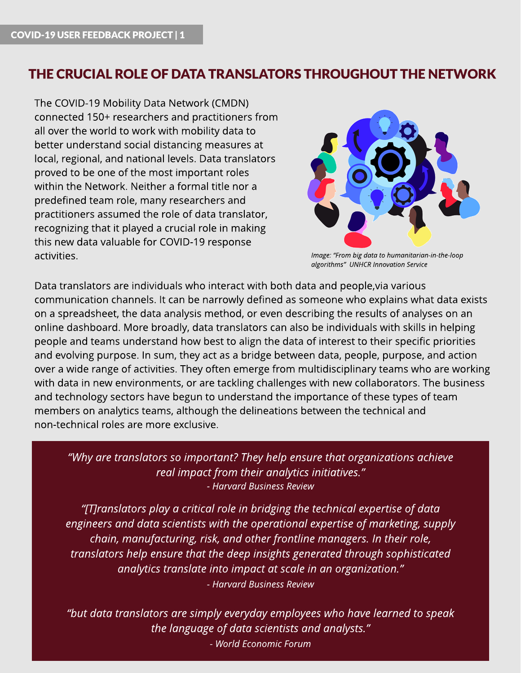# THE CRUCIAL ROLE OF DATA TRANSLATORS THROUGHOUT THE NETWORK

The COVID-19 Mobility Data Network (CMDN) connected 150+ researchers and practitioners from all over the world to work with mobility data to better understand social distancing measures at local, regional, and national levels. Data translators proved to be one of the most important roles within the Network. Neither a formal title nor a predefined team role, many researchers and practitioners assumed the role of data translator, recognizing that it played a crucial role in making this new data valuable for COVID-19 response activities.



**Image: ?From bigdata to humanitarian-in-the-loop algorithms? UNHCRInnovation Service**

Data translators are individuals who interact with both data and people,via various communication channels. It can be narrowly defined as someone who explains what data exists on a spreadsheet, the data analysis method, or even describing the results of analyses on an online dashboard. More broadly, data translators can also be individuals with skills in helping people and teams understand how best to align the data of interest to their specific priorities and evolving purpose. In sum, they act as a bridge between data, people, purpose, and action over a wide range of activities. They often emerge from multidisciplinary teams who are working with data in new environments, or are tackling challenges with new collaborators. The business and technology sectors have begun to understand the importance of these types of team members on analytics teams, although the delineations between the technical and non-technical roles are more exclusive.

#### **?Why are translatorsso important?They help ensure that organizationsachieve real impact from their analyticsinitiatives.? - [Harvard](https://hbr.org/2018/02/you-dont-have-to-be-a-data-scientist-to-fill-this-must-have-analytics-role) [BusinessReview](https://hbr.org/2018/02/you-dont-have-to-be-a-data-scientist-to-fill-this-must-have-analytics-role)**

**?[T]ranslatorsplay a critical role in bridgingthe technical expertise of data engineersand data scientistswith the operational expertise of marketing, supply chain, manufacturing, risk, and other frontline managers. In their role, translatorshelp ensure that the deep insightsgenerated through sophisticated analyticstranslate into impact at scale in an organization.? - [Harvard](https://hbr.org/2018/02/you-dont-have-to-be-a-data-scientist-to-fill-this-must-have-analytics-role) [BusinessReview](https://hbr.org/2018/02/you-dont-have-to-be-a-data-scientist-to-fill-this-must-have-analytics-role)**

**?but data translatorsare simply everyday employeeswho have learned to speak the language of data scientistsand analysts.? - [World](https://europeansting.com/2019/04/02/we-underestimate-the-power-of-data-at-our-peril-this-is-why/) [Economic](https://europeansting.com/2019/04/02/we-underestimate-the-power-of-data-at-our-peril-this-is-why/) [Forum](https://europeansting.com/2019/04/02/we-underestimate-the-power-of-data-at-our-peril-this-is-why/)**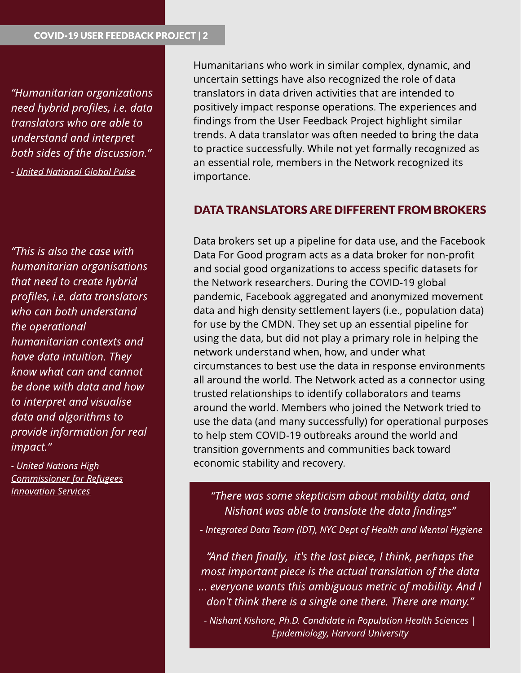**?Humanitarian organizations need hybrid profiles, i.e. data translatorswho are able to understand and interpret both** sides of the discussion."

**- [United](https://www.unglobalpulse.org/2016/11/10-big-data-science-challenges-facing-humanitarian-organizations/) [National](https://www.unglobalpulse.org/2016/11/10-big-data-science-challenges-facing-humanitarian-organizations/) [Global](https://www.unglobalpulse.org/2016/11/10-big-data-science-challenges-facing-humanitarian-organizations/) [Pulse](https://www.unglobalpulse.org/2016/11/10-big-data-science-challenges-facing-humanitarian-organizations/)**

**?Thisisalso the case with humanitarian organisations that need to create hybrid profiles, i.e. data translators who can both understand the operational humanitarian contextsand have data intuition. They know what can and cannot be done with data and how to interpret and visualise data and algorithmsto provide information for real impact.?**

**- [United](https://www.unglobalpulse.org/2016/11/10-big-data-science-challenges-facing-humanitarian-organizations/) Nations High [Commissioner](https://www.unglobalpulse.org/2016/11/10-big-data-science-challenges-facing-humanitarian-organizations/) [for](https://www.unglobalpulse.org/2016/11/10-big-data-science-challenges-facing-humanitarian-organizations/) [Refugees](https://www.unglobalpulse.org/2016/11/10-big-data-science-challenges-facing-humanitarian-organizations/) [Innovation](https://www.unglobalpulse.org/2016/11/10-big-data-science-challenges-facing-humanitarian-organizations/) [Services](https://www.unglobalpulse.org/2016/11/10-big-data-science-challenges-facing-humanitarian-organizations/)**

Humanitarians who work in similar complex, dynamic, and uncertain settings have also recognized the role of data translators in data driven activities that are intended to positively impact response operations. The experiences and findings from the User Feedback Project highlight similar trends. A data translator was often needed to bring the data to practice successfully. While not yet formally recognized as an essential role, members in the Network recognized its importance.

#### DATA TRANSLATORS ARE DIFFERENT FROM BROKERS

Data brokers set up a pipeline for data use, and the Facebook Data For Good program acts as a data broker for non-profit and social good organizations to access specific datasets for the Network researchers. During the COVID-19 global pandemic, Facebook aggregated and anonymized movement data and high density settlement layers (i.e., population data) for use by the CMDN. They set up an essential pipeline for using the data, but did not play a primary role in helping the network understand when, how, and under what circumstances to best use the data in response environments all around the world. The Network acted as a connector using trusted relationships to identify collaborators and teams around the world. Members who joined the Network tried to use the data (and many successfully) for operational purposes to help stem COVID-19 outbreaks around the world and transition governments and communities back toward economic stability and recovery.

**?There wassome skepticism about mobility data, and Nishant wasable to translate the data findings?**

**- Integrated Data Team (IDT), NYCDept of Health and Mental Hygiene**

**?And then finally, it'sthe last piece, I think, perhapsthe most important piece isthe actual translation of the data ? everyone wantsthisambiguousmetricof mobility. And I don't think there isa single one there. There are many.?**

**- Nishant Kishore, Ph.D. Candidate in Population Health Sciences| Epidemiology, Harvard University**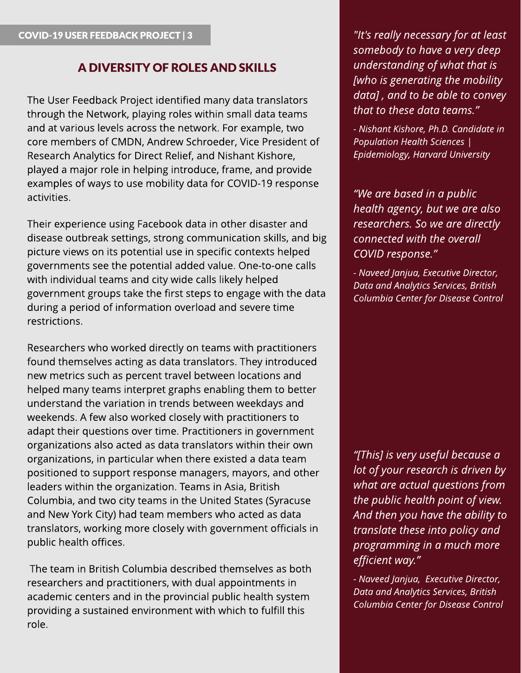# A DIVERSITY OF ROLES AND SKILLS

The User Feedback Project identified many data translators through the Network, playing roles within small data teams and at various levels across the network. For example, two core members of CMDN, Andrew Schroeder, Vice President of Research Analytics for Direct Relief, and Nishant Kishore, played a major role in helping introduce, frame, and provide examples of ways to use mobility data for COVID-19 response activities.

Their experience using Facebook data in other disaster and disease outbreak settings, strong communication skills, and big picture views on its potential use in specific contexts helped governments see the potential added value. One-to-one calls with individual teams and city wide calls likely helped government groups take the first steps to engage with the data during a period of information overload and severe time restrictions.

Researchers who worked directly on teams with practitioners found themselves acting as data translators. They introduced new metrics such as percent travel between locations and helped many teams interpret graphs enabling them to better understand the variation in trends between weekdays and weekends. A few also worked closely with practitioners to adapt their questions over time. Practitioners in government organizations also acted as data translators within their own organizations, in particular when there existed a data team positioned to support response managers, mayors, and other leaders within the organization. Teams in Asia, British Columbia, and two city teams in the United States (Syracuse and New York City) had team members who acted as data translators, working more closely with government officials in public health offices.

The team in British Columbia described themselves as both researchers and practitioners, with dual appointments in academic centers and in the provincial public health system providing a sustained environment with which to fulfill this role.

COVID-19 USERFEEDBACK PROJECT | 3 **"It'sreally necessary for at least somebody to have a very deep understandingof what that is [who** is generating the mobility **data] , and to be able to convey that to these data teams.?**

> **- Nishant Kishore, Ph.D. Candidate in Population Health Sciences| Epidemiology, Harvard University**

**?We are based in a public health agency, but we are also researchers. So we are directly connected with the overall COVID response.?**

**- Naveed Janjua, Executive Director, Data** and Analytics Services, British **Columbia Center for Disease Control**

**?[This] isvery useful because a lot** of your research is driven by **what** are actual questions from **the public health point of view. And then you have the ability to translate these into policy and programmingin a much more efficient way.?**

**- Naveed Janjua, Executive Director, Data** and Analytics Services, British **Columbia Center for Disease Control**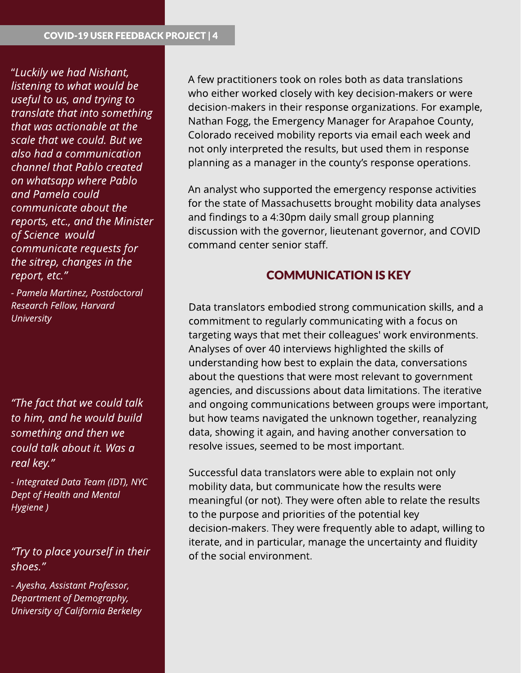?**Luckily we had Nishant, listening** to what would be **useful** to us, and trying to **translate that into something that wasactionable at the scale that we could. But we also had a communication channel that Pablo created on whatsapp where Pablo and Pamela could communicate about the reports, etc., and the Minister of Science would communicate** requests for **the sitrep, changesin the report, etc.?**

**- Pamela Martinez, Postdoctoral Research Fellow, Harvard University**

**?The fact that we could talk to him, and he would build somethingand then we could talk about it. Wasa real key.?**

**- Integrated Data Team (IDT), NYC Dept of Health and Mental Hygiene )**

# **?Try to place yourself in their shoes.?**

**- Ayesha, Assistant Professor, Department of Demography, University of California Berkeley** A few practitioners took on roles both as data translations who either worked closely with key decision-makers or were decision-makers in their response organizations. For example, Nathan Fogg, the Emergency Manager for Arapahoe County, Colorado received mobility reports via email each week and not only interpreted the results, but used them in response planning as a manager in the county's response operations.

An analyst who supported the emergency response activities for the state of Massachusetts brought mobility data analyses and findings to a 4:30pm daily small group planning discussion with the governor, lieutenant governor, and COVID command center senior staff.

#### **COMMUNICATION IS KEY**

Data translators embodied strong communication skills, and a commitment to regularly communicating with a focus on targeting ways that met their colleagues' work environments. Analyses of over 40 interviews highlighted the skills of understanding how best to explain the data, conversations about the questions that were most relevant to government agencies, and discussions about data limitations. The iterative and ongoing communications between groups were important, but how teams navigated the unknown together, reanalyzing data, showing it again, and having another conversation to resolve issues, seemed to be most important.

Successful data translators were able to explain not only mobility data, but communicate how the results were meaningful (or not). They were often able to relate the results to the purpose and priorities of the potential key decision-makers. They were frequently able to adapt, willing to iterate, and in particular, manage the uncertainty and fluidity of the social environment.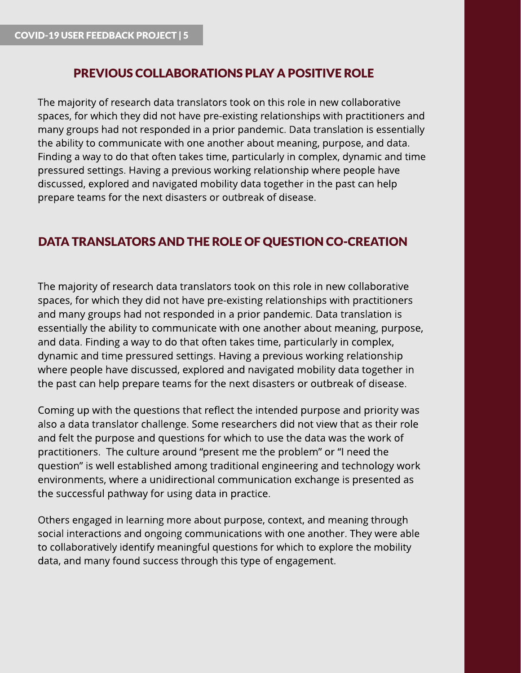### PREVIOUS COLLABORATIONS PLAY A POSITIVE ROLE

The majority of research data translators took on this role in new collaborative spaces, for which they did not have pre-existing relationships with practitioners and many groups had not responded in a prior pandemic. Data translation is essentially the ability to communicate with one another about meaning, purpose, and data. Finding a way to do that often takes time, particularly in complex, dynamic and time pressured settings. Having a previous working relationship where people have discussed, explored and navigated mobility data together in the past can help prepare teams for the next disasters or outbreak of disease.

# DATA TRANSLATORS AND THE ROLE OF QUESTION CO-CREATION

The majority of research data translators took on this role in new collaborative spaces, for which they did not have pre-existing relationships with practitioners and many groups had not responded in a prior pandemic. Data translation is essentially the ability to communicate with one another about meaning, purpose, and data. Finding a way to do that often takes time, particularly in complex, dynamic and time pressured settings. Having a previous working relationship where people have discussed, explored and navigated mobility data together in the past can help prepare teams for the next disasters or outbreak of disease.

Coming up with the questions that reflect the intended purpose and priority was also a data translator challenge. Some researchers did not view that as their role and felt the purpose and questions for which to use the data was the work of practitioners. The culture around "present me the problem" or "I need the question" is well established among traditional engineering and technology work environments, where a unidirectional communication exchange is presented as the successful pathway for using data in practice.

Others engaged in learning more about purpose, context, and meaning through social interactions and ongoing communications with one another. They were able to collaboratively identify meaningful questions for which to explore the mobility data, and many found success through this type of engagement.